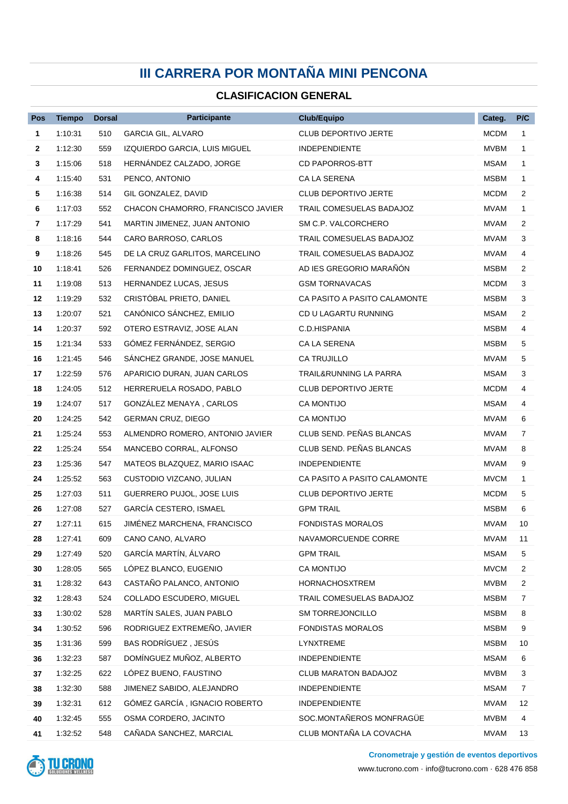## **III CARRERA POR MONTAÑA MINI PENCONA**

## **CLASIFICACION GENERAL**

| Pos          | <b>Tiempo</b> | <b>Dorsal</b> | <b>Participante</b>               | Club/Equipo                       | Categ.      | P/C            |
|--------------|---------------|---------------|-----------------------------------|-----------------------------------|-------------|----------------|
| 1            | 1:10:31       | 510           | <b>GARCIA GIL, ALVARO</b>         | <b>CLUB DEPORTIVO JERTE</b>       | <b>MCDM</b> | $\mathbf 1$    |
| $\mathbf{2}$ | 1:12:30       | 559           | IZQUIERDO GARCIA, LUIS MIGUEL     | <b>INDEPENDIENTE</b>              | <b>MVBM</b> | $\mathbf{1}$   |
| 3            | 1:15:06       | 518           | HERNANDEZ CALZADO, JORGE          | <b>CD PAPORROS-BTT</b>            | MSAM        | $\mathbf{1}$   |
| 4            | 1:15:40       | 531           | PENCO, ANTONIO                    | CA LA SERENA                      | MSBM        | $\mathbf 1$    |
| 5            | 1:16:38       | 514           | GIL GONZALEZ, DAVID               | <b>CLUB DEPORTIVO JERTE</b>       | <b>MCDM</b> | 2              |
| 6            | 1:17:03       | 552           | CHACON CHAMORRO, FRANCISCO JAVIER | TRAIL COMESUELAS BADAJOZ          | MVAM        | 1              |
| 7            | 1:17:29       | 541           | MARTIN JIMENEZ, JUAN ANTONIO      | SM C.P. VALCORCHERO               | MVAM        | 2              |
| 8            | 1:18:16       | 544           | CARO BARROSO, CARLOS              | TRAIL COMESUELAS BADAJOZ          | MVAM        | 3              |
| 9            | 1:18:26       | 545           | DE LA CRUZ GARLITOS, MARCELINO    | TRAIL COMESUELAS BADAJOZ          | MVAM        | 4              |
| 10           | 1:18:41       | 526           | FERNANDEZ DOMINGUEZ, OSCAR        | AD IES GREGORIO MARANON           | MSBM        | $\overline{2}$ |
| 11           | 1:19:08       | 513           | HERNANDEZ LUCAS, JESUS            | <b>GSM TORNAVACAS</b>             | <b>MCDM</b> | 3              |
| 12           | 1:19:29       | 532           | CRISTÓBAL PRIETO, DANIEL          | CA PASITO A PASITO CALAMONTE      | MSBM        | 3              |
| 13           | 1:20:07       | 521           | CANÓNICO SÁNCHEZ, EMILIO          | CD U LAGARTU RUNNING              | <b>MSAM</b> | $\overline{2}$ |
| 14           | 1:20:37       | 592           | OTERO ESTRAVIZ, JOSE ALAN         | C.D.HISPANIA                      | MSBM        | 4              |
| 15           | 1:21:34       | 533           | GÓMEZ FERNÁNDEZ, SERGIO           | CA LA SERENA                      | <b>MSBM</b> | 5              |
| 16           | 1:21:45       | 546           | SANCHEZ GRANDE, JOSE MANUEL       | CA TRUJILLO                       | MVAM        | 5              |
| 17           | 1:22:59       | 576           | APARICIO DURAN, JUAN CARLOS       | <b>TRAIL&amp;RUNNING LA PARRA</b> | MSAM        | 3              |
| 18           | 1:24:05       | 512           | HERRERUELA ROSADO, PABLO          | <b>CLUB DEPORTIVO JERTE</b>       | <b>MCDM</b> | 4              |
| 19           | 1:24:07       | 517           | GONZALEZ MENAYA, CARLOS           | <b>CA MONTIJO</b>                 | MSAM        | 4              |
| 20           | 1:24:25       | 542           | <b>GERMAN CRUZ, DIEGO</b>         | CA MONTIJO                        | MVAM        | 6              |
| 21           | 1:25:24       | 553           | ALMENDRO ROMERO, ANTONIO JAVIER   | CLUB SEND. PEÑAS BLANCAS          | <b>MVAM</b> | 7              |
| 22           | 1:25:24       | 554           | MANCEBO CORRAL, ALFONSO           | CLUB SEND. PEÑAS BLANCAS          | MVAM        | 8              |
| 23           | 1:25:36       | 547           | MATEOS BLAZQUEZ, MARIO ISAAC      | <b>INDEPENDIENTE</b>              | <b>MVAM</b> | 9              |
| 24           | 1:25:52       | 563           | CUSTODIO VIZCANO, JULIAN          | CA PASITO A PASITO CALAMONTE      | <b>MVCM</b> | $\mathbf{1}$   |
| 25           | 1:27:03       | 511           | GUERRERO PUJOL, JOSE LUIS         | <b>CLUB DEPORTIVO JERTE</b>       | <b>MCDM</b> | 5              |
| 26           | 1:27:08       | 527           | GARCÍA CESTERO, ISMAEL            | <b>GPM TRAIL</b>                  | <b>MSBM</b> | 6              |
| 27           | 1:27:11       | 615           | JIMÉNEZ MARCHENA, FRANCISCO       | <b>FONDISTAS MORALOS</b>          | <b>MVAM</b> | 10             |
| 28           | 1:27:41       | 609           | CANO CANO, ALVARO                 | NAVAMORCUENDE CORRE               | <b>MVAM</b> | 11             |
| 29           | 1:27:49       | 520           | GARCÍA MARTÍN, ÁLVARO             | <b>GPM TRAIL</b>                  | <b>MSAM</b> | 5              |
| 30           | 1:28:05       | 565           | LÓPEZ BLANCO, EUGENIO             | CA MONTIJO                        | <b>MVCM</b> | 2              |
| 31           | 1:28:32       | 643           | CASTAÑO PALANCO, ANTONIO          | <b>HORNACHOSXTREM</b>             | <b>MVBM</b> | 2              |
| 32           | 1:28:43       | 524           | COLLADO ESCUDERO, MIGUEL          | TRAIL COMESUELAS BADAJOZ          | <b>MSBM</b> | 7              |
| 33           | 1:30:02       | 528           | MARTÍN SALES, JUAN PABLO          | SM TORREJONCILLO                  | <b>MSBM</b> | 8              |
| 34           | 1:30:52       | 596           | RODRIGUEZ EXTREMEÑO, JAVIER       | <b>FONDISTAS MORALOS</b>          | <b>MSBM</b> | 9              |
| 35           | 1:31:36       | 599           | BAS RODRÍGUEZ, JESÚS              | LYNXTREME                         | <b>MSBM</b> | 10             |
| 36           | 1:32:23       | 587           | DOMÍNGUEZ MUÑOZ, ALBERTO          | <b>INDEPENDIENTE</b>              | <b>MSAM</b> | 6              |
| 37           | 1:32:25       | 622           | LÓPEZ BUENO, FAUSTINO             | CLUB MARATON BADAJOZ              | <b>MVBM</b> | 3              |
| 38           | 1:32:30       | 588           | JIMENEZ SABIDO, ALEJANDRO         | <b>INDEPENDIENTE</b>              | <b>MSAM</b> | $\overline{7}$ |
| 39           | 1:32:31       | 612           | GÓMEZ GARCÍA, IGNACIO ROBERTO     | <b>INDEPENDIENTE</b>              | <b>MVAM</b> | 12             |
| 40           | 1:32:45       | 555           | OSMA CORDERO, JACINTO             | SOC.MONTAÑEROS MONFRAGÜE          | <b>MVBM</b> | 4              |
| 41           | 1:32:52       | 548           | CAÑADA SANCHEZ, MARCIAL           | CLUB MONTAÑA LA COVACHA           | MVAM        | 13             |



www.tucrono.com · info@tucrono.com · 628 476 858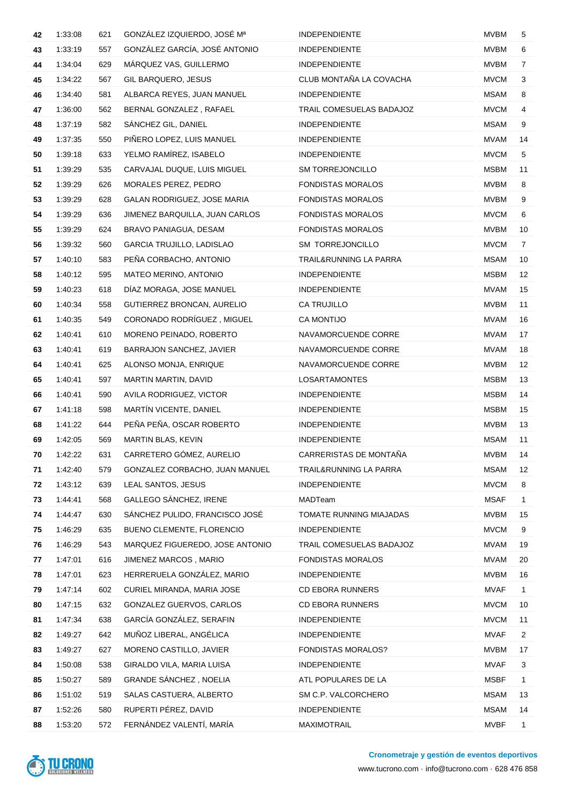| 42 | 1:33:08 | 621 | GONZÁLEZ IZQUIERDO, JOSÉ Mª      | <b>INDEPENDIENTE</b>     | <b>MVBM</b> | 5              |
|----|---------|-----|----------------------------------|--------------------------|-------------|----------------|
| 43 | 1:33:19 | 557 | GONZÁLEZ GARCÍA, JOSÉ ANTONIO    | <b>INDEPENDIENTE</b>     | <b>MVBM</b> | 6              |
| 44 | 1:34:04 | 629 | MÁRQUEZ VAS, GUILLERMO           | <b>INDEPENDIENTE</b>     | <b>MVBM</b> | 7              |
| 45 | 1:34:22 | 567 | <b>GIL BARQUERO, JESUS</b>       | CLUB MONTAÑA LA COVACHA  | <b>MVCM</b> | 3              |
| 46 | 1:34:40 | 581 | ALBARCA REYES, JUAN MANUEL       | <b>INDEPENDIENTE</b>     | <b>MSAM</b> | 8              |
| 47 | 1:36:00 | 562 | BERNAL GONZALEZ, RAFAEL          | TRAIL COMESUELAS BADAJOZ | <b>MVCM</b> | $\overline{4}$ |
| 48 | 1:37:19 | 582 | SANCHEZ GIL, DANIEL              | <b>INDEPENDIENTE</b>     | <b>MSAM</b> | 9              |
| 49 | 1:37:35 | 550 | PIÑERO LOPEZ, LUIS MANUEL        | <b>INDEPENDIENTE</b>     | <b>MVAM</b> | 14             |
| 50 | 1:39:18 | 633 | YELMO RAMÍREZ, ISABELO           | <b>INDEPENDIENTE</b>     | <b>MVCM</b> | 5              |
| 51 | 1:39:29 | 535 | CARVAJAL DUQUE, LUIS MIGUEL      | <b>SM TORREJONCILLO</b>  | <b>MSBM</b> | 11             |
| 52 | 1:39:29 | 626 | MORALES PEREZ, PEDRO             | <b>FONDISTAS MORALOS</b> | <b>MVBM</b> | 8              |
| 53 | 1:39:29 | 628 | GALAN RODRIGUEZ, JOSE MARIA      | <b>FONDISTAS MORALOS</b> | <b>MVBM</b> | 9              |
| 54 | 1:39:29 | 636 | JIMENEZ BARQUILLA, JUAN CARLOS   | <b>FONDISTAS MORALOS</b> | <b>MVCM</b> | 6              |
| 55 | 1:39:29 | 624 | BRAVO PANIAGUA, DESAM            | <b>FONDISTAS MORALOS</b> | <b>MVBM</b> | 10             |
| 56 | 1:39:32 | 560 | <b>GARCIA TRUJILLO, LADISLAO</b> | SM TORREJONCILLO         | <b>MVCM</b> | $\overline{7}$ |
| 57 | 1:40:10 | 583 | PEÑA CORBACHO, ANTONIO           | TRAIL&RUNNING LA PARRA   | <b>MSAM</b> | 10             |
| 58 | 1:40:12 | 595 | MATEO MERINO, ANTONIO            | <b>INDEPENDIENTE</b>     | <b>MSBM</b> | 12             |
| 59 | 1:40:23 | 618 | DÍAZ MORAGA, JOSE MANUEL         | <b>INDEPENDIENTE</b>     | <b>MVAM</b> | 15             |
| 60 | 1:40:34 | 558 | GUTIERREZ BRONCAN, AURELIO       | <b>CA TRUJILLO</b>       | <b>MVBM</b> | 11             |
| 61 | 1:40:35 | 549 | CORONADO RODRÍGUEZ, MIGUEL       | <b>CA MONTIJO</b>        | MVAM        | 16             |
| 62 | 1:40:41 | 610 | MORENO PEINADO, ROBERTO          | NAVAMORCUENDE CORRE      | <b>MVAM</b> | 17             |
| 63 | 1:40:41 | 619 | BARRAJON SANCHEZ, JAVIER         | NAVAMORCUENDE CORRE      | <b>MVAM</b> | 18             |
| 64 | 1:40:41 | 625 | ALONSO MONJA, ENRIQUE            | NAVAMORCUENDE CORRE      | <b>MVBM</b> | 12             |
| 65 | 1:40:41 | 597 | MARTIN MARTIN, DAVID             | <b>LOSARTAMONTES</b>     | MSBM        | 13             |
| 66 | 1:40:41 | 590 | AVILA RODRIGUEZ, VICTOR          | <b>INDEPENDIENTE</b>     | <b>MSBM</b> | 14             |
| 67 | 1:41:18 | 598 | MARTIN VICENTE, DANIEL           | INDEPENDIENTE            | <b>MSBM</b> | 15             |
| 68 | 1:41:22 | 644 | PEÑA PEÑA, OSCAR ROBERTO         | <b>INDEPENDIENTE</b>     | <b>MVBM</b> | 13             |
| 69 | 1:42:05 | 569 | MARTIN BLAS, KEVIN               | <b>INDEPENDIENTE</b>     | MSAM        | 11             |
| 70 | 1:42:22 | 631 | CARRETERO GÓMEZ, AURELIO         | CARRERISTAS DE MONTAÑA   | <b>MVBM</b> | 14             |
| 71 | 1:42:40 | 579 | GONZALEZ CORBACHO, JUAN MANUEL   | TRAIL&RUNNING LA PARRA   | <b>MSAM</b> | 12             |
| 72 | 1:43:12 | 639 | LEAL SANTOS, JESUS               | <b>INDEPENDIENTE</b>     | <b>MVCM</b> | 8              |
| 73 | 1:44:41 | 568 | GALLEGO SÁNCHEZ, IRENE           | MADTeam                  | <b>MSAF</b> | $\mathbf{1}$   |
| 74 | 1:44:47 | 630 | SÁNCHEZ PULIDO, FRANCISCO JOSÉ   | TOMATE RUNNING MIAJADAS  | <b>MVBM</b> | 15             |
| 75 | 1:46:29 | 635 | BUENO CLEMENTE, FLORENCIO        | INDEPENDIENTE            | <b>MVCM</b> | 9              |
| 76 | 1:46:29 | 543 | MARQUEZ FIGUEREDO, JOSE ANTONIO  | TRAIL COMESUELAS BADAJOZ | <b>MVAM</b> | 19             |
| 77 | 1:47:01 | 616 | JIMENEZ MARCOS, MARIO            | <b>FONDISTAS MORALOS</b> | <b>MVAM</b> | 20             |
| 78 | 1:47:01 | 623 | HERRERUELA GONZÁLEZ, MARIO       | <b>INDEPENDIENTE</b>     | <b>MVBM</b> | 16             |
| 79 | 1:47:14 | 602 | CURIEL MIRANDA, MARIA JOSE       | <b>CD EBORA RUNNERS</b>  | <b>MVAF</b> | $\mathbf{1}$   |
| 80 | 1:47:15 | 632 | GONZALEZ GUERVOS, CARLOS         | <b>CD EBORA RUNNERS</b>  | <b>MVCM</b> | 10             |
| 81 | 1:47:34 | 638 | GARCÍA GONZÁLEZ, SERAFIN         | <b>INDEPENDIENTE</b>     | <b>MVCM</b> | 11             |
| 82 | 1:49:27 | 642 | MUÑOZ LIBERAL, ANGÉLICA          | INDEPENDIENTE            | <b>MVAF</b> | $\overline{2}$ |
| 83 | 1:49:27 | 627 | MORENO CASTILLO, JAVIER          | FONDISTAS MORALOS?       | <b>MVBM</b> | 17             |
| 84 | 1:50:08 | 538 | GIRALDO VILA, MARIA LUISA        | INDEPENDIENTE            | <b>MVAF</b> | 3              |
| 85 | 1:50:27 | 589 | GRANDE SÁNCHEZ, NOELIA           | ATL POPULARES DE LA      | <b>MSBF</b> | $\mathbf{1}$   |
| 86 | 1:51:02 | 519 | SALAS CASTUERA, ALBERTO          | SM C.P. VALCORCHERO      | <b>MSAM</b> | 13             |
| 87 | 1:52:26 | 580 | RUPERTI PÉREZ, DAVID             | <b>INDEPENDIENTE</b>     | <b>MSAM</b> | 14             |
| 88 | 1.53.20 | 572 | FERNÁNDEZ VALENTÍ, MARÍA         | MAXIMOTRAIL              | <b>MVBF</b> | $\mathbf 1$    |